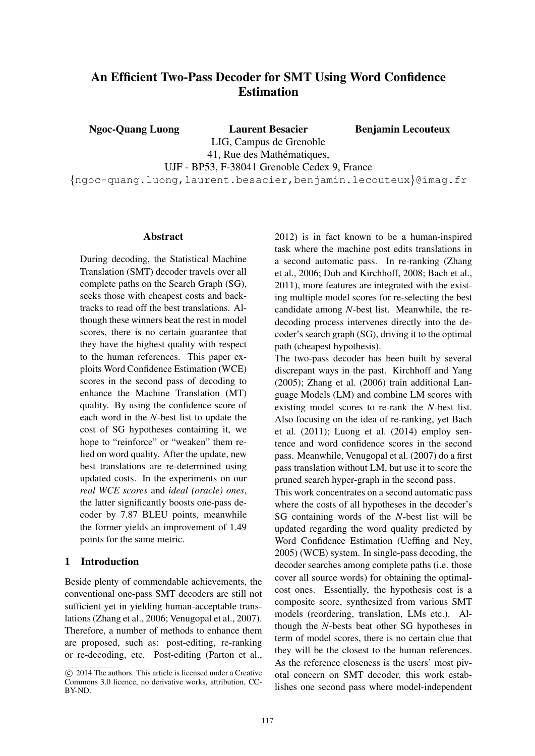# An Efficient Two-Pass Decoder for SMT Using Word Confidence Estimation

Ngoc-Quang Luong Laurent Besacier

Benjamin Lecouteux

LIG, Campus de Grenoble 41, Rue des Mathématiques,

UJF - BP53, F-38041 Grenoble Cedex 9, France

{ngoc-quang.luong,laurent.besacier,benjamin.lecouteux}@imag.fr

#### Abstract

During decoding, the Statistical Machine Translation (SMT) decoder travels over all complete paths on the Search Graph (SG), seeks those with cheapest costs and backtracks to read off the best translations. Although these winners beat the rest in model scores, there is no certain guarantee that they have the highest quality with respect to the human references. This paper exploits Word Confidence Estimation (WCE) scores in the second pass of decoding to enhance the Machine Translation (MT) quality. By using the confidence score of each word in the *N*-best list to update the cost of SG hypotheses containing it, we hope to "reinforce" or "weaken" them relied on word quality. After the update, new best translations are re-determined using updated costs. In the experiments on our *real WCE scores* and *ideal (oracle) ones*, the latter significantly boosts one-pass decoder by 7.87 BLEU points, meanwhile the former yields an improvement of 1.49 points for the same metric.

### 1 Introduction

Beside plenty of commendable achievements, the conventional one-pass SMT decoders are still not sufficient yet in yielding human-acceptable translations (Zhang et al., 2006; Venugopal et al., 2007). Therefore, a number of methods to enhance them are proposed, such as: post-editing, re-ranking or re-decoding, etc. Post-editing (Parton et al., 2012) is in fact known to be a human-inspired task where the machine post edits translations in a second automatic pass. In re-ranking (Zhang et al., 2006; Duh and Kirchhoff, 2008; Bach et al., 2011), more features are integrated with the existing multiple model scores for re-selecting the best candidate among *N*-best list. Meanwhile, the redecoding process intervenes directly into the decoder's search graph (SG), driving it to the optimal path (cheapest hypothesis).

The two-pass decoder has been built by several discrepant ways in the past. Kirchhoff and Yang (2005); Zhang et al. (2006) train additional Language Models (LM) and combine LM scores with existing model scores to re-rank the *N*-best list. Also focusing on the idea of re-ranking, yet Bach et al. (2011); Luong et al. (2014) employ sentence and word confidence scores in the second pass. Meanwhile, Venugopal et al. (2007) do a first pass translation without LM, but use it to score the pruned search hyper-graph in the second pass.

This work concentrates on a second automatic pass where the costs of all hypotheses in the decoder's SG containing words of the *N*-best list will be updated regarding the word quality predicted by Word Confidence Estimation (Ueffing and Ney, 2005) (WCE) system. In single-pass decoding, the decoder searches among complete paths (i.e. those cover all source words) for obtaining the optimalcost ones. Essentially, the hypothesis cost is a composite score, synthesized from various SMT models (reordering, translation, LMs etc.). Although the *N*-bests beat other SG hypotheses in term of model scores, there is no certain clue that they will be the closest to the human references. As the reference closeness is the users' most pivotal concern on SMT decoder, this work establishes one second pass where model-independent

c 2014 The authors. This article is licensed under a Creative Commons 3.0 licence, no derivative works, attribution, CC-BY-ND.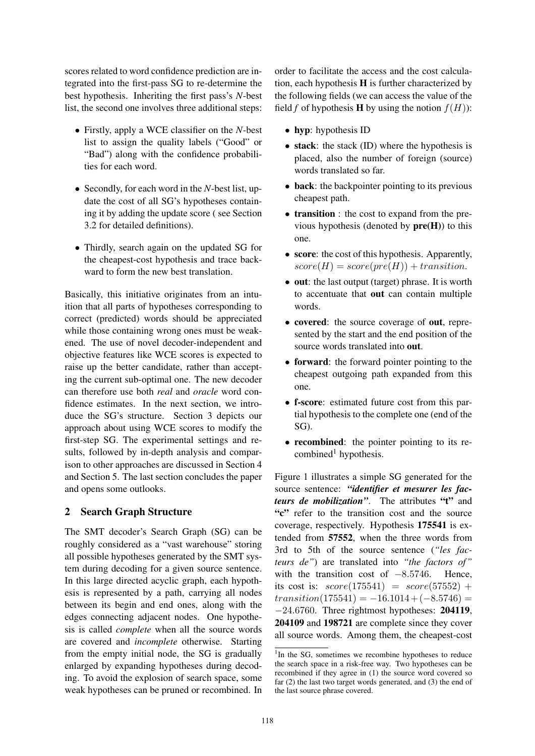scores related to word confidence prediction are integrated into the first-pass SG to re-determine the best hypothesis. Inheriting the first pass's *N*-best list, the second one involves three additional steps:

- Firstly, apply a WCE classifier on the *N*-best list to assign the quality labels ("Good" or "Bad") along with the confidence probabilities for each word.
- Secondly, for each word in the *N*-best list, update the cost of all SG's hypotheses containing it by adding the update score ( see Section 3.2 for detailed definitions).
- Thirdly, search again on the updated SG for the cheapest-cost hypothesis and trace backward to form the new best translation.

Basically, this initiative originates from an intuition that all parts of hypotheses corresponding to correct (predicted) words should be appreciated while those containing wrong ones must be weakened. The use of novel decoder-independent and objective features like WCE scores is expected to raise up the better candidate, rather than accepting the current sub-optimal one. The new decoder can therefore use both *real* and *oracle* word confidence estimates. In the next section, we introduce the SG's structure. Section 3 depicts our approach about using WCE scores to modify the first-step SG. The experimental settings and results, followed by in-depth analysis and comparison to other approaches are discussed in Section 4 and Section 5. The last section concludes the paper and opens some outlooks.

# 2 Search Graph Structure

The SMT decoder's Search Graph (SG) can be roughly considered as a "vast warehouse" storing all possible hypotheses generated by the SMT system during decoding for a given source sentence. In this large directed acyclic graph, each hypothesis is represented by a path, carrying all nodes between its begin and end ones, along with the edges connecting adjacent nodes. One hypothesis is called *complete* when all the source words are covered and *incomplete* otherwise. Starting from the empty initial node, the SG is gradually enlarged by expanding hypotheses during decoding. To avoid the explosion of search space, some weak hypotheses can be pruned or recombined. In order to facilitate the access and the cost calculation, each hypothesis  $H$  is further characterized by the following fields (we can access the value of the field *f* of hypothesis **H** by using the notion  $f(H)$ :

- hyp: hypothesis ID
- stack: the stack (ID) where the hypothesis is placed, also the number of foreign (source) words translated so far.
- back: the backpointer pointing to its previous cheapest path.
- **transition** : the cost to expand from the previous hypothesis (denoted by  $pre(H)$ ) to this one.
- score: the cost of this hypothesis. Apparently,  $score(H) = score(pre(H)) + transition.$
- out: the last output (target) phrase. It is worth to accentuate that out can contain multiple words.
- covered: the source coverage of out, represented by the start and the end position of the source words translated into out.
- **forward**: the forward pointer pointing to the cheapest outgoing path expanded from this one.
- f-score: estimated future cost from this partial hypothesis to the complete one (end of the SG).
- recombined: the pointer pointing to its recombined<sup>1</sup> hypothesis.

Figure 1 illustrates a simple SG generated for the source sentence: *"identifier et mesurer les facteurs de mobilization*". The attributes "t" and "c" refer to the transition cost and the source coverage, respectively. Hypothesis 175541 is extended from 57552, when the three words from 3rd to 5th of the source sentence (*"les facteurs de"*) are translated into *"the factors of"* with the transition cost of −8.5746. Hence, its cost is:  $score(175541) = score(57552) +$  $transition(175541) = -16.1014 + (-8.5746) =$ −24.6760. Three rightmost hypotheses: 204119, 204109 and 198721 are complete since they cover all source words. Among them, the cheapest-cost

<sup>&</sup>lt;sup>1</sup>In the SG, sometimes we recombine hypotheses to reduce the search space in a risk-free way. Two hypotheses can be recombined if they agree in (1) the source word covered so far (2) the last two target words generated, and (3) the end of the last source phrase covered.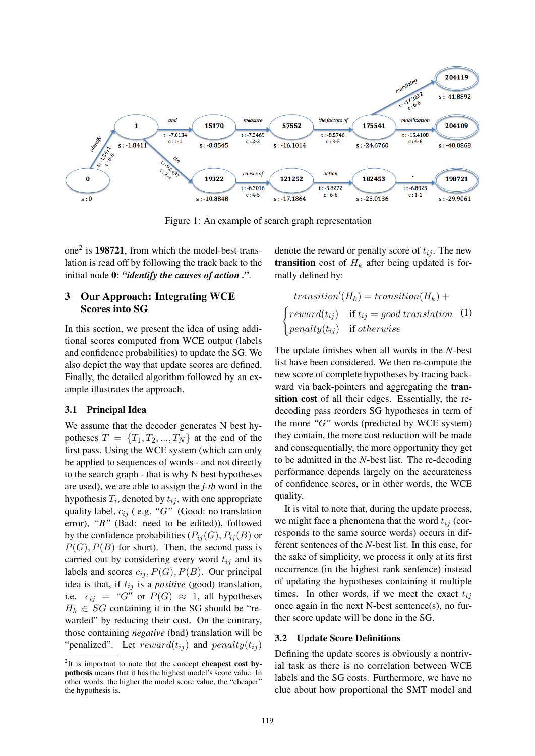

Figure 1: An example of search graph representation

one<sup>2</sup> is **198721**, from which the model-best translation is read off by following the track back to the initial node 0: *"identify the causes of action ."*.

# 3 Our Approach: Integrating WCE Scores into SG

In this section, we present the idea of using additional scores computed from WCE output (labels and confidence probabilities) to update the SG. We also depict the way that update scores are defined. Finally, the detailed algorithm followed by an example illustrates the approach.

# 3.1 Principal Idea

We assume that the decoder generates N best hypotheses  $T = \{T_1, T_2, ..., T_N\}$  at the end of the first pass. Using the WCE system (which can only be applied to sequences of words - and not directly to the search graph - that is why N best hypotheses are used), we are able to assign the *j-th* word in the hypothesis  $T_i$ , denoted by  $t_{ij}$ , with one appropriate quality label,  $c_{ij}$  ( e.g. "G" (Good: no translation error), *"B"* (Bad: need to be edited)), followed by the confidence probabilities  $(P_{ii}(G), P_{ii}(B))$  or  $P(G), P(B)$  for short). Then, the second pass is carried out by considering every word  $t_{ij}$  and its labels and scores  $c_{ij}$ ,  $P(G)$ ,  $P(B)$ . Our principal idea is that, if  $t_{ij}$  is a *positive* (good) translation, i.e.  $c_{ij} = "G''$  or  $P(G) \approx 1$ , all hypotheses  $H_k \in SG$  containing it in the SG should be "rewarded" by reducing their cost. On the contrary, those containing *negative* (bad) translation will be "penalized". Let  $reward(t_{ij})$  and  $penalty(t_{ij})$  denote the reward or penalty score of  $t_{ij}$ . The new **transition** cost of  $H_k$  after being updated is formally defined by:

$$
transition'(H_k) = transition(H_k) +
$$
  
\n
$$
\begin{cases}\nreward(t_{ij}) & \text{if } t_{ij} = good translation \\
penalty(t_{ij}) & \text{if } otherwise\n\end{cases}
$$
 (1)

The update finishes when all words in the *N*-best list have been considered. We then re-compute the new score of complete hypotheses by tracing backward via back-pointers and aggregating the transition cost of all their edges. Essentially, the redecoding pass reorders SG hypotheses in term of the more *"G"* words (predicted by WCE system) they contain, the more cost reduction will be made and consequentially, the more opportunity they get to be admitted in the *N*-best list. The re-decoding performance depends largely on the accurateness of confidence scores, or in other words, the WCE quality.

It is vital to note that, during the update process, we might face a phenomena that the word  $t_{ij}$  (corresponds to the same source words) occurs in different sentences of the *N*-best list. In this case, for the sake of simplicity, we process it only at its first occurrence (in the highest rank sentence) instead of updating the hypotheses containing it multiple times. In other words, if we meet the exact  $t_{ij}$ once again in the next N-best sentence(s), no further score update will be done in the SG.

### 3.2 Update Score Definitions

Defining the update scores is obviously a nontrivial task as there is no correlation between WCE labels and the SG costs. Furthermore, we have no clue about how proportional the SMT model and

 $2$ It is important to note that the concept **cheapest cost hy**pothesis means that it has the highest model's score value. In other words, the higher the model score value, the "cheaper" the hypothesis is.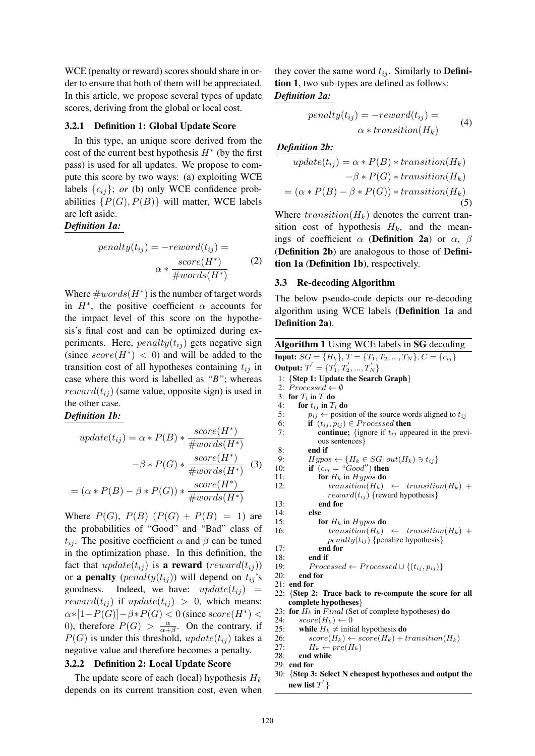WCE (penalty or reward) scores should share in order to ensure that both of them will be appreciated. In this article, we propose several types of update scores, deriving from the global or local cost.

#### 3.2.1 Definition 1: Global Update Score

In this type, an unique score derived from the cost of the current best hypothesis  $H^*$  (by the first pass) is used for all updates. We propose to compute this score by two ways: (a) exploiting WCE labels  $\{c_{ij}\}$ ; *or* (b) only WCE confidence probabilities  $\{P(G), P(B)\}\$  will matter, WCE labels are left aside.

### *Definition 1a:*

$$
penalty(t_{ij}) = -reward(t_{ij}) =
$$

$$
\alpha * \frac{score(H^*)}{\# words(H^*)}
$$
(2)

Where  $\#words(H^*)$  is the number of target words in  $H^*$ , the positive coefficient  $\alpha$  accounts for the impact level of this score on the hypothesis's final cost and can be optimized during experiments. Here,  $penalty(t_{ij})$  gets negative sign (since  $score(H^*)$  < 0) and will be added to the transition cost of all hypotheses containing  $t_{ij}$  in case where this word is labelled as *"B"*; whereas  $reward(t_{ij})$  (same value, opposite sign) is used in the other case.

### *Definition 1b:*

$$
update(t_{ij}) = \alpha * P(B) * \frac{score(H^*)}{\# words(H^*)}
$$

$$
- \beta * P(G) * \frac{score(H^*)}{\# words(H^*)}
$$
(3)
$$
= (\alpha * P(B) - \beta * P(G)) * \frac{score(H^*)}{\# words(H^*)}
$$

Where  $P(G)$ ,  $P(B)$   $(P(G) + P(B) = 1)$  are the probabilities of "Good" and "Bad" class of  $t_{ij}$ . The positive coefficient  $\alpha$  and  $\beta$  can be tuned in the optimization phase. In this definition, the fact that  $update(t_{ij})$  is a reward  $(reward(t_{ij}))$ or a penalty (*penalty* $(t_{ij})$ ) will depend on  $t_{ij}$ 's goodness. Indeed, we have:  $update(t_{ij})$  = reward( $t_{ij}$ ) if update( $t_{ij}$ ) > 0, which means:  $\alpha*[1-P(G)]-\beta*P(G) < 0$  (since  $score(H^*)$  < 0), therefore  $P(G) > \frac{\alpha}{\alpha + \alpha}$  $\frac{\alpha}{\alpha+\beta}$ . On the contrary, if  $P(G)$  is under this threshold, update $(t_{ij})$  takes a negative value and therefore becomes a penalty.

#### 3.2.2 Definition 2: Local Update Score

The update score of each (local) hypothesis  $H_k$ depends on its current transition cost, even when they cover the same word  $t_{ij}$ . Similarly to **Defini**tion 1, two sub-types are defined as follows: *Definition 2a:*

$$
penalty(t_{ij}) = -reward(t_{ij}) =
$$
  
\n
$$
\alpha * transition(H_k)
$$
 (4)

**Definition 2b:**  
\n
$$
update(t_{ij}) = \alpha * P(B) * transition(H_k)
$$
\n
$$
- \beta * P(G) * transition(H_k)
$$
\n
$$
= (\alpha * P(B) - \beta * P(G)) * transition(H_k)
$$
\n(5)

Where  $transition(H_k)$  denotes the current transition cost of hypothesis  $H_k$ , and the meanings of coefficient  $\alpha$  (Definition 2a) or  $\alpha$ ,  $\beta$ (Definition 2b) are analogous to those of Definition 1a (Definition 1b), respectively.

#### 3.3 Re-decoding Algorithm

The below pseudo-code depicts our re-decoding algorithm using WCE labels (Definition 1a and Definition 2a).

```
Algorithm 1 Using WCE labels in SG decoding
Input: SG = \{H_k\}, T = \{T_1, T_2, ..., T_N\}, C = \{c_{ij}\}Output: T^{'} = \{T_1^{'}, T_2^{'}, ..., T_N^{'}\}1: {Step 1: Update the Search Graph}
 2: \overline{Proceed} \leftarrow \emptyset3: for T_i in T do<br>4: for t_{ii} in T_ifor t_{ij} in T_i do
 5: p_{ij} \leftarrow position of the source words aligned to t_{ij}6: if (t_{ij}, p_{ij}) \in \textit{Processed} then
 7: continue; {ignore if t_{ij} appeared in the previ-
             ous sentences}
 8: end if 9: Hupo
 9: Hypo \leftarrow \{H_k \in SG | \, out(H_k) \ni t_{ij}\}10: if (c_{ij} = "Good") then
11: for H_k in Hypos do
12: transition(H_k) \leftarrow transition(H_k) +reward(t_{ij}) {reward hypothesis}
13: end for
14: else
15: for H_k in Hypos do
16: transition(H_k) \leftarrow transition(H_k) +penalty(t_{ij}) {penalize hypothesis}
17: end for
18<sup>°</sup> end if
19: Processed ← Processed \cup \{(t_{ij}, p_{ij})\}20: end for
21: end for
22: {Step 2: Trace back to re-compute the score for all
    complete hypotheses}
23: for H_k in Final (Set of complete hypotheses) do
24: score(H_k) \leftarrow 025: while H_k \neq initial hypothesis do
26: score(H_k) \leftarrow score(H_k) + transition(H_k)<br>27: H_k \leftarrow pre(H_k)27: H_k \leftarrow pre(H_k)<br>28: end while
       end while
29: end for
30: {Step 3: Select N cheapest hypotheses and output the
    new list T^{'} }
```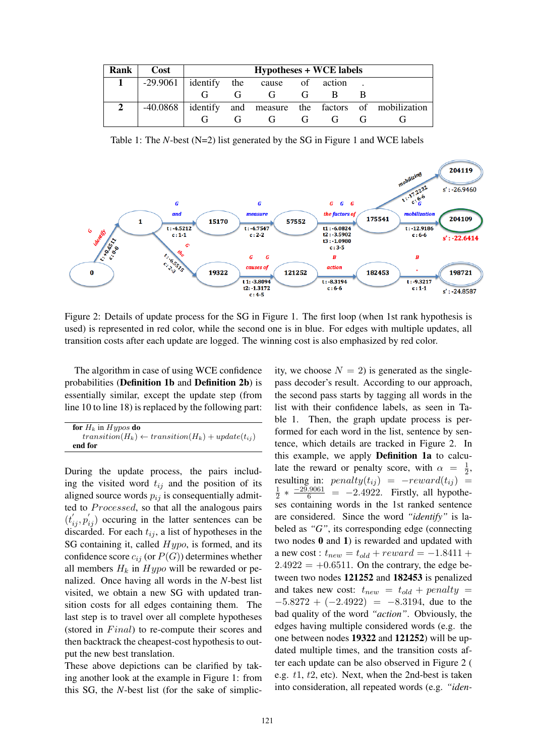| Rank | Cost                                    | <b>Hypotheses + WCE labels</b> |             |   |  |  |  |                                                          |  |  |
|------|-----------------------------------------|--------------------------------|-------------|---|--|--|--|----------------------------------------------------------|--|--|
|      | $-29.9061$ identify the cause of action |                                |             |   |  |  |  |                                                          |  |  |
|      |                                         |                                | $G$ and $G$ | G |  |  |  |                                                          |  |  |
|      |                                         |                                |             |   |  |  |  | -40.0868 dentify and measure the factors of mobilization |  |  |
|      |                                         |                                |             | G |  |  |  |                                                          |  |  |

Table 1: The *N*-best (N=2) list generated by the SG in Figure 1 and WCE labels



Figure 2: Details of update process for the SG in Figure 1. The first loop (when 1st rank hypothesis is used) is represented in red color, while the second one is in blue. For edges with multiple updates, all transition costs after each update are logged. The winning cost is also emphasized by red color.

The algorithm in case of using WCE confidence probabilities (Definition 1b and Definition 2b) is essentially similar, except the update step (from line 10 to line 18) is replaced by the following part:

| for $H_k$ in Hypos do                                         |
|---------------------------------------------------------------|
| $transition(H_k) \leftarrow transition(H_k) + update(t_{ii})$ |
| end for                                                       |

During the update process, the pairs including the visited word  $t_{ij}$  and the position of its aligned source words  $p_{ij}$  is consequentially admitted to  $Proceed, so that all the analogous pairs$  $(t'_{ij}, p'_{ij})$  occuring in the latter sentences can be discarded. For each  $t_{ij}$ , a list of hypotheses in the SG containing it, called  $Hypo$ , is formed, and its confidence score  $c_{ij}$  (or  $P(G)$ ) determines whether all members  $H_k$  in  $Hypo$  will be rewarded or penalized. Once having all words in the *N*-best list visited, we obtain a new SG with updated transition costs for all edges containing them. The last step is to travel over all complete hypotheses (stored in  $Final$ ) to re-compute their scores and then backtrack the cheapest-cost hypothesis to output the new best translation.

These above depictions can be clarified by taking another look at the example in Figure 1: from this SG, the *N*-best list (for the sake of simplicity, we choose  $N = 2$ ) is generated as the singlepass decoder's result. According to our approach, the second pass starts by tagging all words in the list with their confidence labels, as seen in Table 1. Then, the graph update process is performed for each word in the list, sentence by sentence, which details are tracked in Figure 2. In this example, we apply Definition 1a to calculate the reward or penalty score, with  $\alpha = \frac{1}{2}$  $\frac{1}{2}$ , resulting in:  $penalty(t_{ij}) = -reward(t_{ij}) =$ 1  $\frac{1}{2} * \frac{-29.9061}{6} = -2.4922$ . Firstly, all hypotheses containing words in the 1st ranked sentence are considered. Since the word *"identify"* is labeled as *"G"*, its corresponding edge (connecting two nodes 0 and 1) is rewarded and updated with a new cost :  $t_{new} = t_{old} + reward = -1.8411 + ...$  $2.4922 = +0.6511$ . On the contrary, the edge between two nodes 121252 and 182453 is penalized and takes new cost:  $t_{new} = t_{old} + penalty =$  $-5.8272 + (-2.4922) = -8.3194$ , due to the bad quality of the word *"action"*. Obviously, the edges having multiple considered words (e.g. the one between nodes 19322 and 121252) will be updated multiple times, and the transition costs after each update can be also observed in Figure 2 ( e.g.  $t_1$ ,  $t_2$ , etc). Next, when the 2nd-best is taken into consideration, all repeated words (e.g. *"iden-*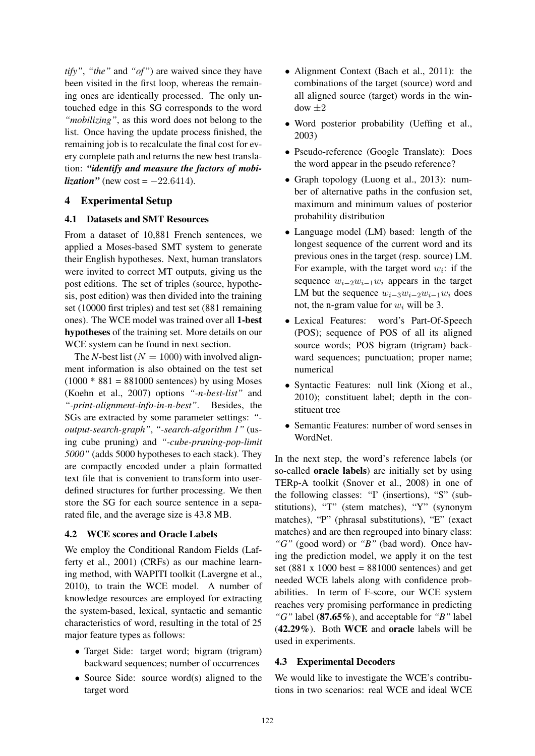*tify"*, *"the"* and *"of"*) are waived since they have been visited in the first loop, whereas the remaining ones are identically processed. The only untouched edge in this SG corresponds to the word *"mobilizing"*, as this word does not belong to the list. Once having the update process finished, the remaining job is to recalculate the final cost for every complete path and returns the new best translation: *"identify and measure the factors of mobilization*" (new cost =  $-22.6414$ ).

# 4 Experimental Setup

### 4.1 Datasets and SMT Resources

From a dataset of 10,881 French sentences, we applied a Moses-based SMT system to generate their English hypotheses. Next, human translators were invited to correct MT outputs, giving us the post editions. The set of triples (source, hypothesis, post edition) was then divided into the training set (10000 first triples) and test set (881 remaining ones). The WCE model was trained over all 1-best hypotheses of the training set. More details on our WCE system can be found in next section.

The *N*-best list ( $N = 1000$ ) with involved alignment information is also obtained on the test set  $(1000 * 881 = 881000$  sentences) by using Moses (Koehn et al., 2007) options *"-n-best-list"* and *"-print-alignment-info-in-n-best"*. Besides, the SGs are extracted by some parameter settings: *" output-search-graph"*, *"-search-algorithm 1"* (using cube pruning) and *"-cube-pruning-pop-limit 5000"* (adds 5000 hypotheses to each stack). They are compactly encoded under a plain formatted text file that is convenient to transform into userdefined structures for further processing. We then store the SG for each source sentence in a separated file, and the average size is 43.8 MB.

# 4.2 WCE scores and Oracle Labels

We employ the Conditional Random Fields (Lafferty et al., 2001) (CRFs) as our machine learning method, with WAPITI toolkit (Lavergne et al., 2010), to train the WCE model. A number of knowledge resources are employed for extracting the system-based, lexical, syntactic and semantic characteristics of word, resulting in the total of 25 major feature types as follows:

- Target Side: target word; bigram (trigram) backward sequences; number of occurrences
- Source Side: source word(s) aligned to the target word
- Alignment Context (Bach et al., 2011): the combinations of the target (source) word and all aligned source (target) words in the win $d$ ow  $\pm 2$
- Word posterior probability (Ueffing et al., 2003)
- Pseudo-reference (Google Translate): Does the word appear in the pseudo reference?
- Graph topology (Luong et al., 2013): number of alternative paths in the confusion set, maximum and minimum values of posterior probability distribution
- Language model (LM) based: length of the longest sequence of the current word and its previous ones in the target (resp. source) LM. For example, with the target word  $w_i$ : if the sequence  $w_{i-2}w_{i-1}w_i$  appears in the target LM but the sequence  $w_{i-3}w_{i-2}w_{i-1}w_i$  does not, the n-gram value for  $w_i$  will be 3.
- Lexical Features: word's Part-Of-Speech (POS); sequence of POS of all its aligned source words; POS bigram (trigram) backward sequences; punctuation; proper name; numerical
- Syntactic Features: null link (Xiong et al., 2010); constituent label; depth in the constituent tree
- Semantic Features: number of word senses in WordNet.

In the next step, the word's reference labels (or so-called oracle labels) are initially set by using TERp-A toolkit (Snover et al., 2008) in one of the following classes: "I' (insertions), "S" (substitutions), "T" (stem matches), "Y" (synonym matches), "P" (phrasal substitutions), "E" (exact matches) and are then regrouped into binary class: *"G"* (good word) or *"B"* (bad word). Once having the prediction model, we apply it on the test set (881 x 1000 best =  $881000$  sentences) and get needed WCE labels along with confidence probabilities. In term of F-score, our WCE system reaches very promising performance in predicting *"G"* label (87.65%), and acceptable for *"B"* label (42.29%). Both WCE and oracle labels will be used in experiments.

# 4.3 Experimental Decoders

We would like to investigate the WCE's contributions in two scenarios: real WCE and ideal WCE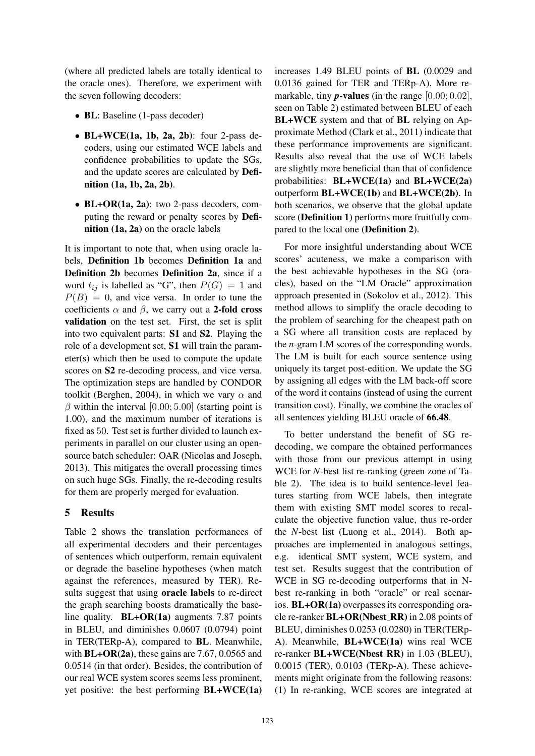(where all predicted labels are totally identical to the oracle ones). Therefore, we experiment with the seven following decoders:

- BL: Baseline (1-pass decoder)
- BL $+$ WCE $(1a, 1b, 2a, 2b)$ : four 2-pass decoders, using our estimated WCE labels and confidence probabilities to update the SGs, and the update scores are calculated by Definition (1a, 1b, 2a, 2b).
- BL+OR(1a, 2a): two 2-pass decoders, computing the reward or penalty scores by Definition (1a, 2a) on the oracle labels

It is important to note that, when using oracle labels, Definition 1b becomes Definition 1a and Definition 2b becomes Definition 2a, since if a word  $t_{ij}$  is labelled as "G", then  $P(G) = 1$  and  $P(B) = 0$ , and vice versa. In order to tune the coefficients  $\alpha$  and  $\beta$ , we carry out a 2-fold cross validation on the test set. First, the set is split into two equivalent parts: S1 and S2. Playing the role of a development set, S1 will train the parameter(s) which then be used to compute the update scores on S2 re-decoding process, and vice versa. The optimization steps are handled by CONDOR toolkit (Berghen, 2004), in which we vary  $\alpha$  and  $\beta$  within the interval [0.00; 5.00] (starting point is 1.00), and the maximum number of iterations is fixed as 50. Test set is further divided to launch experiments in parallel on our cluster using an opensource batch scheduler: OAR (Nicolas and Joseph, 2013). This mitigates the overall processing times on such huge SGs. Finally, the re-decoding results for them are properly merged for evaluation.

# 5 Results

Table 2 shows the translation performances of all experimental decoders and their percentages of sentences which outperform, remain equivalent or degrade the baseline hypotheses (when match against the references, measured by TER). Results suggest that using oracle labels to re-direct the graph searching boosts dramatically the baseline quality. **BL+OR(1a)** augments 7.87 points in BLEU, and diminishes 0.0607 (0.0794) point in TER(TERp-A), compared to BL. Meanwhile, with  $BL+OR(2a)$ , these gains are 7.67, 0.0565 and 0.0514 (in that order). Besides, the contribution of our real WCE system scores seems less prominent, yet positive: the best performing BL+WCE(1a)

increases 1.49 BLEU points of BL (0.0029 and 0.0136 gained for TER and TERp-A). More remarkable, tiny  $p$ -values (in the range  $[0.00; 0.02]$ , seen on Table 2) estimated between BLEU of each BL+WCE system and that of BL relying on Approximate Method (Clark et al., 2011) indicate that these performance improvements are significant. Results also reveal that the use of WCE labels are slightly more beneficial than that of confidence probabilities: BL+WCE(1a) and BL+WCE(2a) outperform BL+WCE(1b) and BL+WCE(2b). In both scenarios, we observe that the global update score (Definition 1) performs more fruitfully compared to the local one (Definition 2).

For more insightful understanding about WCE scores' acuteness, we make a comparison with the best achievable hypotheses in the SG (oracles), based on the "LM Oracle" approximation approach presented in (Sokolov et al., 2012). This method allows to simplify the oracle decoding to the problem of searching for the cheapest path on a SG where all transition costs are replaced by the *n*-gram LM scores of the corresponding words. The LM is built for each source sentence using uniquely its target post-edition. We update the SG by assigning all edges with the LM back-off score of the word it contains (instead of using the current transition cost). Finally, we combine the oracles of all sentences yielding BLEU oracle of 66.48.

To better understand the benefit of SG redecoding, we compare the obtained performances with those from our previous attempt in using WCE for *N*-best list re-ranking (green zone of Table 2). The idea is to build sentence-level features starting from WCE labels, then integrate them with existing SMT model scores to recalculate the objective function value, thus re-order the *N*-best list (Luong et al., 2014). Both approaches are implemented in analogous settings, e.g. identical SMT system, WCE system, and test set. Results suggest that the contribution of WCE in SG re-decoding outperforms that in Nbest re-ranking in both "oracle" or real scenarios. BL+OR(1a) overpasses its corresponding oracle re-ranker  $BL+OR(Nbest_R)$  in 2.08 points of BLEU, diminishes 0.0253 (0.0280) in TER(TERp-A). Meanwhile, BL+WCE(1a) wins real WCE re-ranker **BL+WCE(Nbest\_RR)** in 1.03 (BLEU), 0.0015 (TER), 0.0103 (TERp-A). These achievements might originate from the following reasons: (1) In re-ranking, WCE scores are integrated at